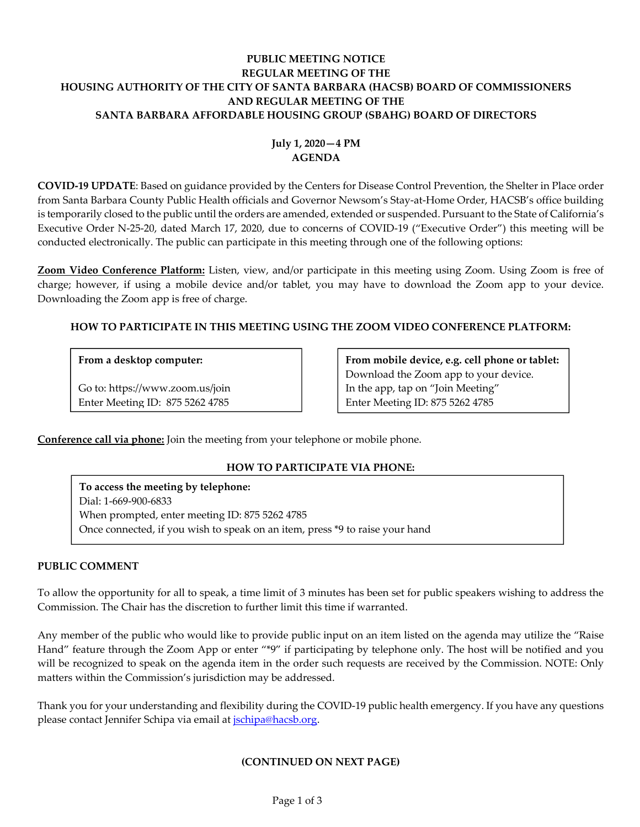# **PUBLIC MEETING NOTICE REGULAR MEETING OF THE HOUSING AUTHORITY OF THE CITY OF SANTA BARBARA (HACSB) BOARD OF COMMISSIONERS AND REGULAR MEETING OF THE SANTA BARBARA AFFORDABLE HOUSING GROUP (SBAHG) BOARD OF DIRECTORS**

# **July 1, 2020—4 PM AGENDA**

**COVID‐19 UPDATE**: Based on guidance provided by the Centers for Disease Control Prevention, the Shelter in Place order from Santa Barbara County Public Health officials and Governor Newsom's Stay-at-Home Order, HACSB's office building is temporarily closed to the public until the orders are amended, extended or suspended. Pursuant to the State of California's Executive Order N‐25‐20, dated March 17, 2020, due to concerns of COVID‐19 ("Executive Order") this meeting will be conducted electronically. The public can participate in this meeting through one of the following options:

**Zoom Video Conference Platform:** Listen, view, and/or participate in this meeting using Zoom. Using Zoom is free of charge; however, if using a mobile device and/or tablet, you may have to download the Zoom app to your device. Downloading the Zoom app is free of charge.

# **HOW TO PARTICIPATE IN THIS MEETING USING THE ZOOM VIDEO CONFERENCE PLATFORM:**

### **From a desktop computer:**

Go to: https://www.zoom.us/join Enter Meeting ID: 875 5262 4785

**From mobile device, e.g. cell phone or tablet:** Download the Zoom app to your device. In the app, tap on "Join Meeting" Enter Meeting ID: 875 5262 4785

**Conference call via phone:** Join the meeting from your telephone or mobile phone.

# **HOW TO PARTICIPATE VIA PHONE:**

**To access the meeting by telephone:** Dial: 1‐669‐900‐6833 When prompted, enter meeting ID: 875 5262 4785 Once connected, if you wish to speak on an item, press \*9 to raise your hand

# **PUBLIC COMMENT**

To allow the opportunity for all to speak, a time limit of 3 minutes has been set for public speakers wishing to address the Commission. The Chair has the discretion to further limit this time if warranted.

Any member of the public who would like to provide public input on an item listed on the agenda may utilize the "Raise Hand" feature through the Zoom App or enter "\*9" if participating by telephone only. The host will be notified and you will be recognized to speak on the agenda item in the order such requests are received by the Commission. NOTE: Only matters within the Commission's jurisdiction may be addressed.

Thank you for your understanding and flexibility during the COVID‐19 public health emergency. If you have any questions please contact Jennifer Schipa via email at *jschipa@hacsb.org*.

# **(CONTINUED ON NEXT PAGE)**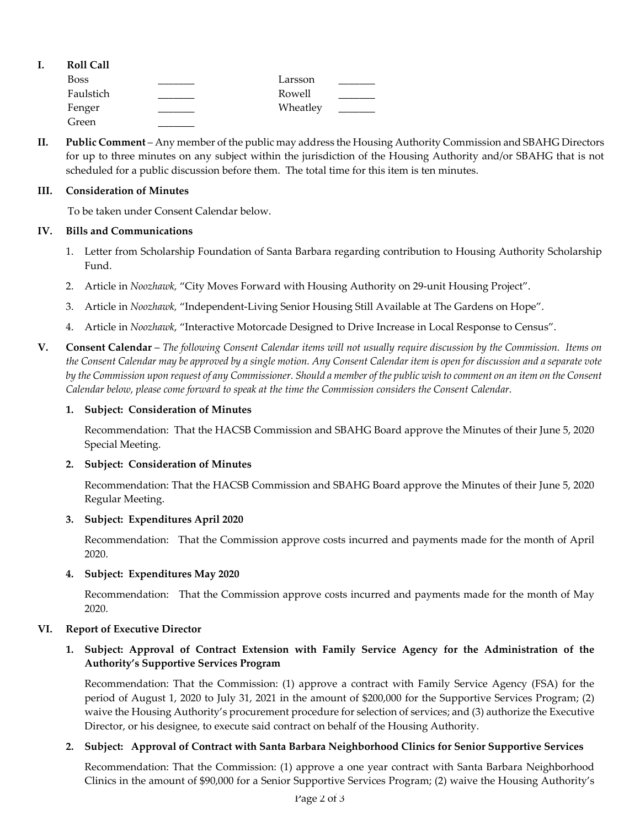| <b>Roll Call</b> |          |  |
|------------------|----------|--|
| <b>Boss</b>      | Larsson  |  |
| Faulstich        | Rowell   |  |
| Fenger           | Wheatley |  |
| Green            |          |  |

**II. Public Comment** – Any member of the public may address the Housing Authority Commission and SBAHG Directors for up to three minutes on any subject within the jurisdiction of the Housing Authority and/or SBAHG that is not scheduled for a public discussion before them. The total time for this item is ten minutes.

#### **III. Consideration of Minutes**

To be taken under Consent Calendar below.

### **IV. Bills and Communications**

- 1. Letter from Scholarship Foundation of Santa Barbara regarding [contribution](https://hacsb.org/download/meetings_2020/items/07_july/Item-IV.1.pdf) to Housing Authority Scholarship Fund.
- 2. Article in *[Noozhawk,](https://hacsb.org/download/meetings_2020/items/07_july/Item-IV.2.pdf)* "City Moves Forward with Housing Authority on 29-unit Housing Project".
- 3. Article in *Noozhawk,* ["Independent](https://hacsb.org/download/meetings_2020/items/07_july/Item-IV.3.pdf)‐Living Senior Housing Still Available at The Gardens on Hope".
- 4. Article in *Noozhawk*, ["Interactive](https://hacsb.org/download/meetings_2020/items/07_july/Item-IV.4.pdf) Motorcade Designed to Drive Increase in Local Response to Census".
- V. Consent Calendar The following Consent Calendar items will not usually require discussion by the Commission. Items on the Consent Calendar may be approved by a single motion. Any Consent Calendar item is open for discussion and a separate vote by the Commission upon request of any Commissioner. Should a member of the public wish to comment on an item on the Consent *Calendar below, please come forward to speak at the time the Commission considers the Consent Calendar.*

### **1. Subject: Consideration of Minutes**

[Recommendation:](https://hacsb.org/download/meetings_2020/items/07_july/Item-V.1.pdf) That the HACSB Commission and SBAHG Board approve the Minutes of their June 5, 2020 Special Meeting.

### **2. Subject: Consideration of Minutes**

[Recommendation:](https://hacsb.org/download/meetings_2020/items/07_july/Item-V.2.pdf) That the HACSB Commission and SBAHG Board approve the Minutes of their June 5, 2020 Regular Meeting.

### **3. Subject: Expenditures April 2020**

[Recommendation:](https://hacsb.org/download/meetings_2020/items/07_july/Item-V.3_RF.pdf) That the Commission approve costs incurred and payments made for the month of April 2020.

### **4. Subject: Expenditures May 2020**

[Recommendation:](https://hacsb.org/download/meetings_2020/items/07_july/Item-V.4_RF.pdf) That the Commission approve costs incurred and payments made for the month of May 2020.

### **VI. Report of Executive Director**

# **1. Subject: Approval of Contract Extension with Family Service Agency for the Administration of the Authority's Supportive Services Program**

[Recommendation:](https://hacsb.org/download/meetings_2020/items/07_july/Item-VI.1.pdf) That the Commission: (1) approve a contract with Family Service Agency (FSA) for the period of August 1, 2020 to July 31, 2021 in the amount of \$200,000 for the Supportive Services Program; (2) waive the Housing Authority's procurement procedure for selection of services; and (3) authorize the Executive Director, or his designee, to execute said contract on behalf of the Housing Authority.

### **2. Subject: Approval of Contract with Santa Barbara Neighborhood Clinics for Senior Supportive Services**

[Recommendation:](https://hacsb.org/download/meetings_2020/items/07_july/Item-VI.2.pdf) That the Commission: (1) approve a one year contract with Santa Barbara Neighborhood Clinics in the amount of \$90,000 for a Senior Supportive Services Program; (2) waive the Housing Authority's